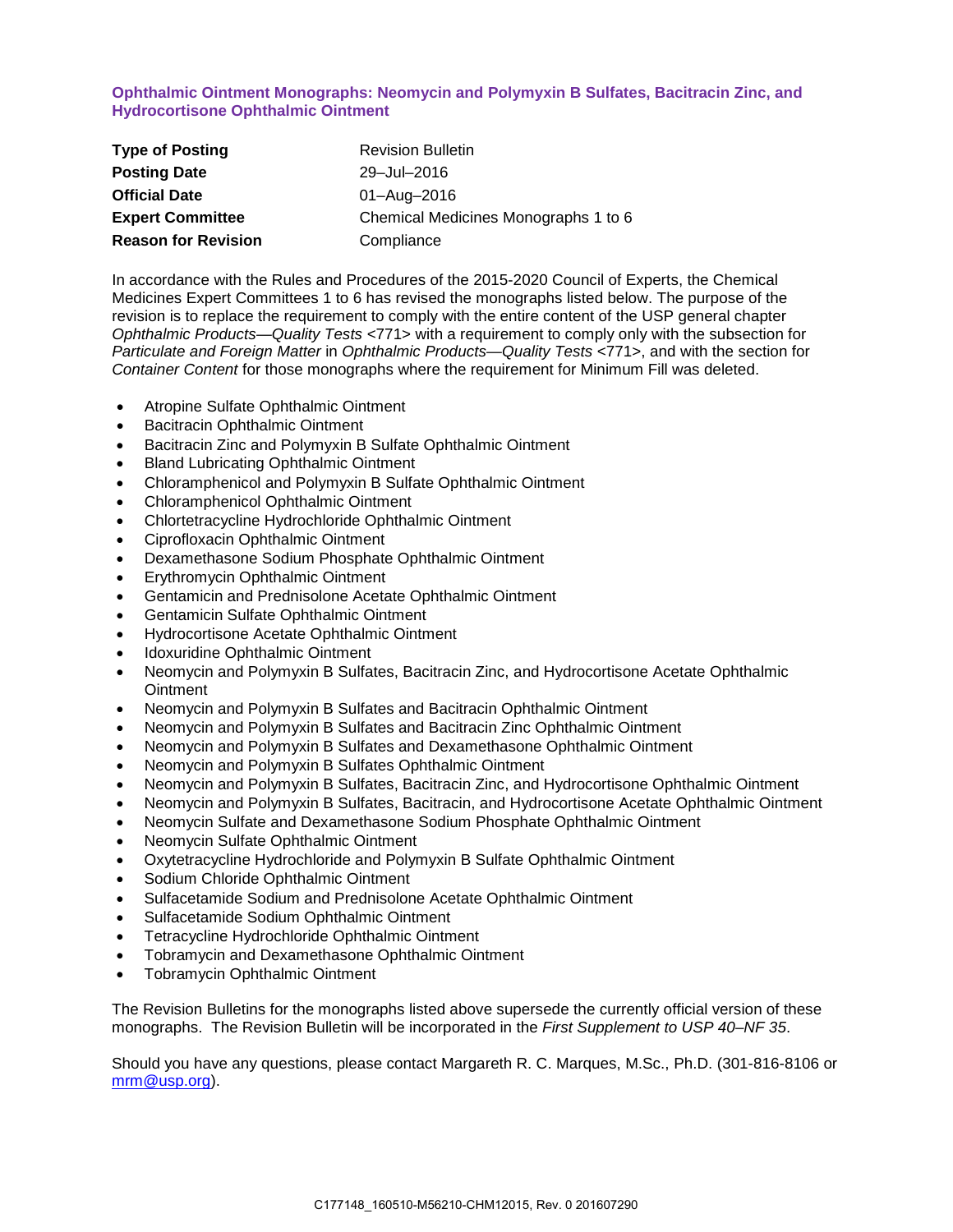## **Ophthalmic Ointment Monographs: Neomycin and Polymyxin B Sulfates, Bacitracin Zinc, and Hydrocortisone Ophthalmic Ointment**

| <b>Type of Posting</b>     | <b>Revision Bulletin</b>             |
|----------------------------|--------------------------------------|
| <b>Posting Date</b>        | 29-Jul-2016                          |
| <b>Official Date</b>       | 01-Aug-2016                          |
| <b>Expert Committee</b>    | Chemical Medicines Monographs 1 to 6 |
| <b>Reason for Revision</b> | Compliance                           |

In accordance with the Rules and Procedures of the 2015-2020 Council of Experts, the Chemical Medicines Expert Committees 1 to 6 has revised the monographs listed below. The purpose of the revision is to replace the requirement to comply with the entire content of the USP general chapter *Ophthalmic Products—Quality Tests* <771> with a requirement to comply only with the subsection for *Particulate and Foreign Matter* in *Ophthalmic Products—Quality Tests* <771>, and with the section for *Container Content* for those monographs where the requirement for Minimum Fill was deleted.

- Atropine Sulfate Ophthalmic Ointment
- Bacitracin Ophthalmic Ointment
- Bacitracin Zinc and Polymyxin B Sulfate Ophthalmic Ointment
- Bland Lubricating Ophthalmic Ointment
- Chloramphenicol and Polymyxin B Sulfate Ophthalmic Ointment
- Chloramphenicol Ophthalmic Ointment
- Chlortetracycline Hydrochloride Ophthalmic Ointment
- Ciprofloxacin Ophthalmic Ointment
- Dexamethasone Sodium Phosphate Ophthalmic Ointment
- Erythromycin Ophthalmic Ointment
- Gentamicin and Prednisolone Acetate Ophthalmic Ointment
- Gentamicin Sulfate Ophthalmic Ointment
- Hydrocortisone Acetate Ophthalmic Ointment
- Idoxuridine Ophthalmic Ointment
- Neomycin and Polymyxin B Sulfates, Bacitracin Zinc, and Hydrocortisone Acetate Ophthalmic **Ointment**
- Neomycin and Polymyxin B Sulfates and Bacitracin Ophthalmic Ointment
- Neomycin and Polymyxin B Sulfates and Bacitracin Zinc Ophthalmic Ointment
- Neomycin and Polymyxin B Sulfates and Dexamethasone Ophthalmic Ointment
- Neomycin and Polymyxin B Sulfates Ophthalmic Ointment
- Neomycin and Polymyxin B Sulfates, Bacitracin Zinc, and Hydrocortisone Ophthalmic Ointment
- Neomycin and Polymyxin B Sulfates, Bacitracin, and Hydrocortisone Acetate Ophthalmic Ointment
- Neomycin Sulfate and Dexamethasone Sodium Phosphate Ophthalmic Ointment
- Neomycin Sulfate Ophthalmic Ointment
- Oxytetracycline Hydrochloride and Polymyxin B Sulfate Ophthalmic Ointment
- Sodium Chloride Ophthalmic Ointment
- Sulfacetamide Sodium and Prednisolone Acetate Ophthalmic Ointment
- Sulfacetamide Sodium Ophthalmic Ointment
- Tetracycline Hydrochloride Ophthalmic Ointment
- Tobramycin and Dexamethasone Ophthalmic Ointment
- Tobramycin Ophthalmic Ointment

The Revision Bulletins for the monographs listed above supersede the currently official version of these monographs. The Revision Bulletin will be incorporated in the *First Supplement to USP 40–NF 35*.

Should you have any questions, please contact Margareth R. C. Marques, M.Sc., Ph.D. (301-816-8106 or [mrm@usp.org\)](mailto:mrm@usp.org).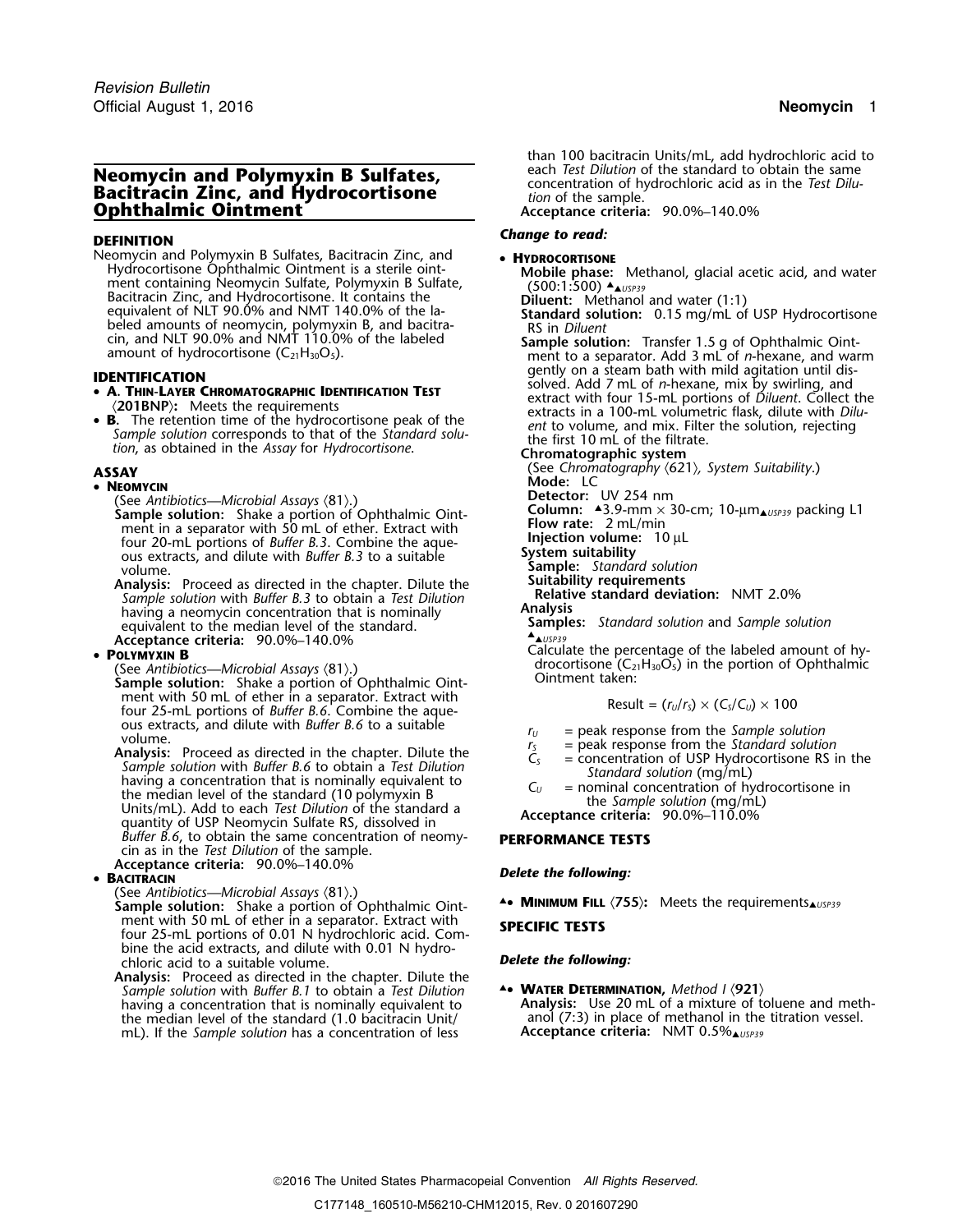# **Neomycin and Polymyxin B Sulfates,<br>
Bacitracin Zinc, and Hydrocortisone**<br> **Conception of the sample.**<br> *Comphthalmic Ointment*<br> *Acceptance criteria:* 90.0%–140.0%

Neomycin and Polymyxin B Sulfates, Bacitracin Zinc, and • **HYDROCORTISONE** Hydrocortisone Ophthalmic Ointment is a sterile oint- **Mobile phase**: Methanol, glacial acetic acid, and water<br>ment containing Neomycin Sulfate, Polymyxin B Sulfate, (500:1:500) ▲ Next containing reomyent sanate, rolying and sanate, and Hydrocortisone. It contains the **Diluent:** Methanol and water (1:1) Bacitracin Zinc, and Hydrocortisone. It contains the<br>
equivalent of NLT 90.0% and NMT 140.0% of the la-<br>
beled amounts of neomycin, polymyxin B, and bacitra-<br>
cin, and NLT 90.0% and NMT 110.0% of the labeled<br> **Sample solut** 

- 
- **B.** The retention time of the hydrocortisone peak of the standard solution, as obtained in the Assay for Hydrocortisone.<br>
Sample solution corresponds to that of the Standard solution, as obtained in the Assay for Hydroc

## • **<sup>N</sup>EOMYCIN Mode:** LC

**(See Antibiotics—Microbial Assays (81).) Detector:** UV 254 nm<br>**Sample solution:** Shake a portion of Ophthalmic Oint- **Column:**  $\frac{23.9 \cdot m m \times 3}{2}$ ment in a separator with 50 mL of ether. Extract with **Flow rate:** 2 mL/min<br>four 20 mL portions of *Ruffer B* 3. Combine the ague **Fluit injection volume:** 10 uL four 20-mL portions of *Buffer B.3*. Combine the aque-<br>ous extracts, and dilute with *Buffer B.3* to a suitable<br>volume.<br>**Sample:** Standard solution<br>**Suitability requirements**<br>**Suitability requirements** 

**Analysis:** Proceed as directed in the chapter. Dilute the **Suitability requirements** Proceed as directed in the chapter. Dilute the **Suitability requirements** *Sample solution* with *Buffer B.3* to obtain a *Test Dilution*<br>having a neomycin concentration that is nominally **Analysis Analysis** is non-concentration that is nominally **Samples:** *Standard solution* and *Sample solution* equivalent to the median level of the standard. Acceptance criteria: 90.0%-140.0%<br>**POLYMYXIN B** 

**P** (See *Antibiotics—Microbial Assays*  $\langle 81 \rangle$ .) **in the position of Ophthalmic Oint- Continent taken: Sample solution:** Shake a portion of Ophthalmic Oint- **Continent taken: Pacify Continent taken**: **Pacify C** four 25-mL portions of *Buffer B.6*. Combine the aque-<br>ous extracts, and dilute with *Buffer B.6* to a suitable

ous extracts, and dilute with *Buffer B.6* to a suitable<br>
volume.<br>
Analysis: Proceed as directed in the chapter. Dilute the<br> *Sample solution* with *Buffer B.6* to obtain a *Test Dilution*<br> *Sample solution* with *Buffer Buffer B.6, to obtain the same concentration of neomy-* **PERFORMANCE TESTS** cin as in the *Test Dilution* of the sample. **Acceptance criteria:** 90.0%–140.0% *Delete the following:* •

## **BACITRACIN**

- (See *Antibiotics—Microbial Assays* 〈81〉.) **Sample solution:** Shake a portion of Ophthalmic Oint-<br>**Sample solution:** Shake a portion of Ophthalmic Oint-<br>→ MINIMUM FILL  $(755)$ : Meets the requirements ment with 50 mL of ether in a separator. Extract with **SPECIFIC TESTS** four 25-mL portions of 0.01 N hydrochloric acid. Combine the acid extracts, and dilute with 0.01 N hydrochloric acid to a suitable volume. *Delete the following:*
- **Analysis:** Proceed as directed in the chapter. Dilute the *Sample solution* with *Buffer B.1* to obtain a *Test Dilution* ▲**.**• **<sup>W</sup>ATER DETERMINATION,** *Method I* 〈**921**〉 mL). If the *Sample solution* has a concentration of less **Acceptance criteria:** NMT 0.5%▲*USP39*

*.* than 100 bacitracin Units/mL, add hydrochloric acid to

**Ophthalmic Ointment Acceptance criteria:** 90.0%–140.0%

# *Change to read:* **DEFINITION**

cin, and NLT 90.0% and NMT 110.0% of the labeled **Sample solution:** Transfer 1.5 g of Ophthalmic Oint-<br>amount of hydrocortisone (C<sub>21</sub>H<sub>30</sub>O<sub>5</sub>). ment to a separator. Add 3 mL of *n*-hexane, and warm **IDENTIFICATION**<br> **IDENTIFICATION**<br> **EXECUTE:** Solved. Add 7 mL of *n*-hexane, mix by swirling, and<br> **IDENTIFICATION**<br> **EXECUTE:** Solved. Add 7 mL of *n*-hexane, mix by swirling, and<br> **EXECUTE:** Solved. Add 7 mL of *n*-hex 2018NP): Meets the requirements<br>3. The retention time of the hydrocortisone peak of the extracts in a 100-mL volumetric flask, dilute with *Dilu*<br>1. Extracts in a 100-mL volumetric flask, dilute with *Dilu* 

**ASSAY** (See *Chromatography*  $\langle 621 \rangle$ *, System Suitability.*)<br>• NEOMYCIN

**Column:**  $\triangle 3.9$ -mm × 30-cm; 10-µm<sub> $\triangle$ *USP39*</sub> packing L1 **Flow rate:** 2 mL/min

- 
- 
- 
- 

Calculate the percentage of the labeled amount of hy-<br>drocortisone  $(C_{21}H_{30}O_5)$  in the portion of Ophthalmic

$$
Result = (r_U/r_S) \times (C_S/C_U) \times 100
$$

- 
- 
- 
- -

- 
- having a concentration that is nominally equivalent to **Analysis:** Use 20 mL of a mixture of toluene and meththe median level of the standard (1.0 bacitracin Unit/ anol (7:3) in place of methanol in the titration vessel.